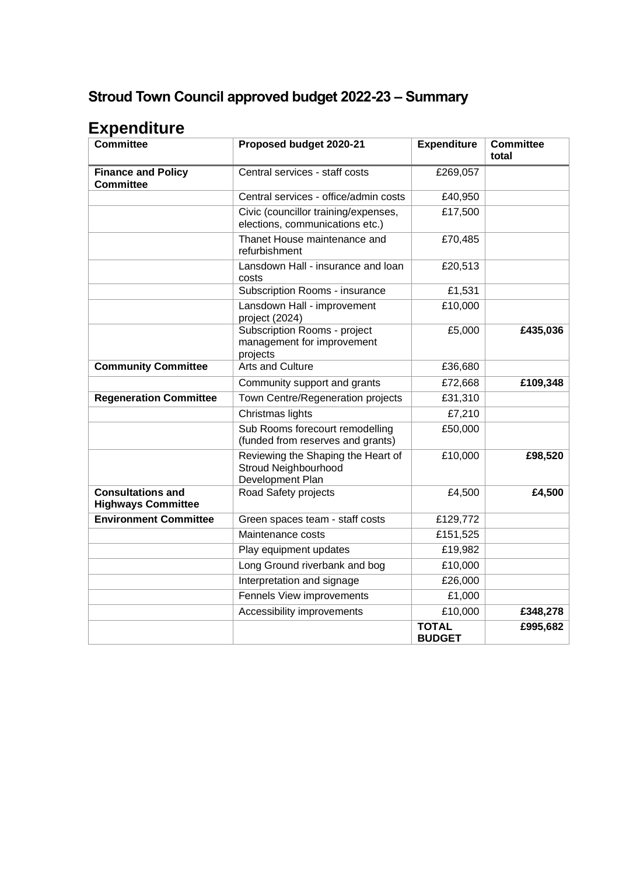## **Stroud Town Council approved budget 2022-23 – Summary**

## **Expenditure**

| <b>Committee</b>                                      | Proposed budget 2020-21                                                        | <b>Expenditure</b>            | <b>Committee</b><br>total |
|-------------------------------------------------------|--------------------------------------------------------------------------------|-------------------------------|---------------------------|
| <b>Finance and Policy</b><br><b>Committee</b>         | Central services - staff costs                                                 | £269,057                      |                           |
|                                                       | Central services - office/admin costs                                          | £40,950                       |                           |
|                                                       | Civic (councillor training/expenses,<br>elections, communications etc.)        | £17,500                       |                           |
|                                                       | Thanet House maintenance and<br>refurbishment                                  | £70,485                       |                           |
|                                                       | Lansdown Hall - insurance and loan<br>costs                                    | £20,513                       |                           |
|                                                       | Subscription Rooms - insurance                                                 | £1,531                        |                           |
|                                                       | Lansdown Hall - improvement<br>project (2024)                                  | £10,000                       |                           |
|                                                       | Subscription Rooms - project<br>management for improvement<br>projects         | £5,000                        | £435,036                  |
| <b>Community Committee</b>                            | <b>Arts and Culture</b>                                                        | £36,680                       |                           |
|                                                       | Community support and grants                                                   | £72,668                       | £109,348                  |
| <b>Regeneration Committee</b>                         | Town Centre/Regeneration projects                                              | £31,310                       |                           |
|                                                       | Christmas lights                                                               | £7,210                        |                           |
|                                                       | Sub Rooms forecourt remodelling<br>(funded from reserves and grants)           | £50,000                       |                           |
|                                                       | Reviewing the Shaping the Heart of<br>Stroud Neighbourhood<br>Development Plan | £10,000                       | £98,520                   |
| <b>Consultations and</b><br><b>Highways Committee</b> | Road Safety projects                                                           | £4,500                        | £4,500                    |
| <b>Environment Committee</b>                          | Green spaces team - staff costs                                                | £129,772                      |                           |
|                                                       | Maintenance costs                                                              | £151,525                      |                           |
|                                                       | Play equipment updates                                                         | £19,982                       |                           |
|                                                       | Long Ground riverbank and bog                                                  | £10,000                       |                           |
|                                                       | Interpretation and signage                                                     | £26,000                       |                           |
|                                                       | Fennels View improvements                                                      | £1,000                        |                           |
|                                                       | Accessibility improvements                                                     | £10,000                       | £348,278                  |
|                                                       |                                                                                | <b>TOTAL</b><br><b>BUDGET</b> | £995,682                  |